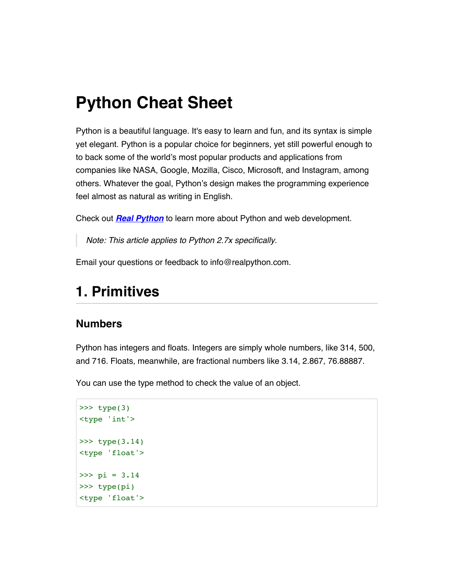# **Python Cheat Sheet**

Python is a beautiful language. It's easy to learn and fun, and its syntax is simple yet elegant. Python is a popular choice for beginners, yet still powerful enough to to back some of the world's most popular products and applications from companies like NASA, Google, Mozilla, Cisco, Microsoft, and Instagram, among others. Whatever the goal, Python's design makes the programming experience feel almost as natural as writing in English.

Check out *[Real Python](http://www.realpython.com/)* to learn more about Python and web development.

*Note: This article applies to Python 2.7x specifically.*

Email your questions or feedback to info@realpython.com.

## **1. Primitives**

#### **Numbers**

Python has integers and floats. Integers are simply whole numbers, like 314, 500, and 716. Floats, meanwhile, are fractional numbers like 3.14, 2.867, 76.88887.

You can use the type method to check the value of an object.

```
>>> type(3)
<type 'int'>
>>> type(3.14)<type 'float'> 
>>> pi = 3.14
>>> type(pi)
<type 'float'>
```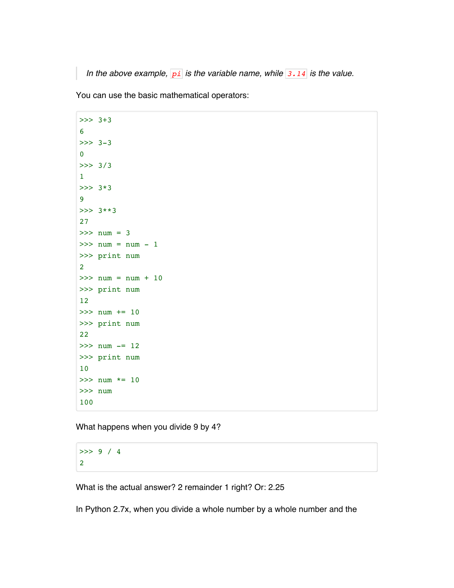*In the above example, pi is the variable name, while 3.14 is the value.*

You can use the basic mathematical operators:

```
>>> 3+3
6
>>> 3-3
0
>>> 3/3
1
>>> 3*3
9
>>> 3**3
27
>>> num = 3
>>> num = num - 1 
>>> print num
2
>> num = num + 10
>>> print num
12
>>> num += 10
>>> print num
22
>>> num -= 12
>>> print num
10
\gg num *= 10>>> num
100
```
What happens when you divide 9 by 4?

>>> 9 / 4 2

What is the actual answer? 2 remainder 1 right? Or: 2.25

In Python 2.7x, when you divide a whole number by a whole number and the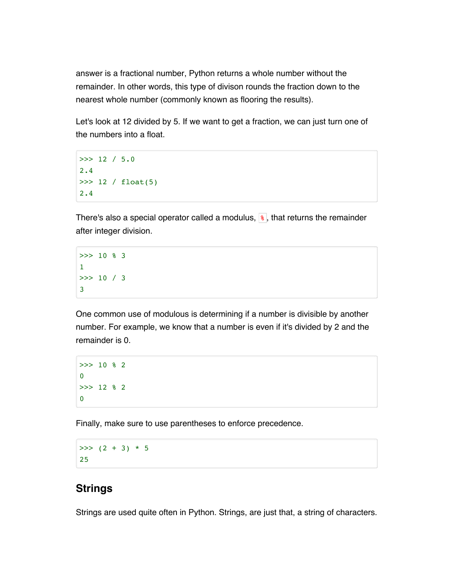answer is a fractional number, Python returns a whole number without the remainder. In other words, this type of divison rounds the fraction down to the nearest whole number (commonly known as flooring the results).

Let's look at 12 divided by 5. If we want to get a fraction, we can just turn one of the numbers into a float.

```
>>> 12 / 5.0
2.4
>>> 12 / float(5)
2.4
```
There's also a special operator called a modulus,  $\frac{1}{8}$ , that returns the remainder after integer division.

```
>> 10 % 3
1
>>> 10 / 3
3
```
One common use of modulous is determining if a number is divisible by another number. For example, we know that a number is even if it's divided by 2 and the remainder is 0.

```
>>> 10 % 2
\overline{0}>>> 12 % 2
0
```
Finally, make sure to use parentheses to enforce precedence.

 $>>$  (2 + 3) \* 5 25

#### **Strings**

Strings are used quite often in Python. Strings, are just that, a string of characters.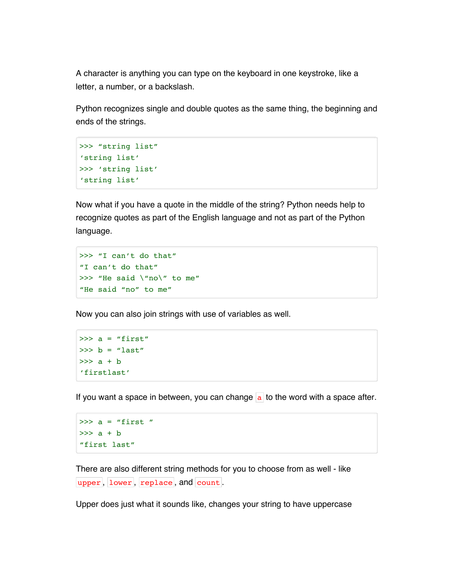A character is anything you can type on the keyboard in one keystroke, like a letter, a number, or a backslash.

Python recognizes single and double quotes as the same thing, the beginning and ends of the strings.

```
>>> "string list"
'string list'
>>> 'string list'
'string list'
```
Now what if you have a quote in the middle of the string? Python needs help to recognize quotes as part of the English language and not as part of the Python language.

```
>>> "I can't do that"
"I can't do that"
>>> "He said \"no\" to me"
"He said "no" to me"
```
Now you can also join strings with use of variables as well.

 $\gg$  a = "first"  $>>$  b = "last"  $\gg$  a + b 'firstlast'

If you want a space in between, you can change  $\overline{a}$  to the word with a space after.

```
\gg a = "first "
\gg a + b
"first last"
```
There are also different string methods for you to choose from as well - like upper, lower, replace, and count.

Upper does just what it sounds like, changes your string to have uppercase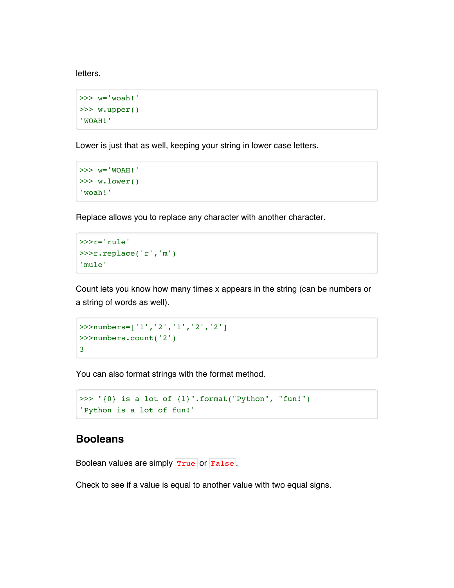letters.

```
>>> w='woah!'
>>> w.upper()
'WOAH!'
```
Lower is just that as well, keeping your string in lower case letters.

```
>>> w='WOAH!'
>>> w.lower()
'woah!'
```
Replace allows you to replace any character with another character.

>>>r='rule' >>>r.replace('r','m') 'mule'

Count lets you know how many times x appears in the string (can be numbers or a string of words as well).

```
>>>numbers=['1','2','1','2','2']
>>>numbers.count('2')
3
```
You can also format strings with the format method.

```
>>> "\{0\} is a lot of \{1\}".format("Python", "fun!")
'Python is a lot of fun!'
```
#### **Booleans**

Boolean values are simply True or False.

Check to see if a value is equal to another value with two equal signs.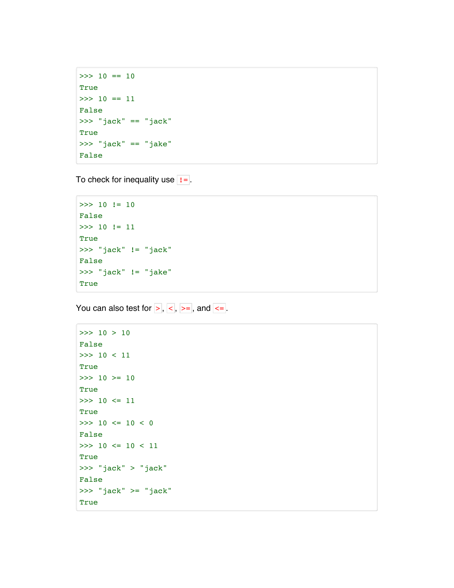```
\gg 10 == 10
True
\gg 10 == 11
False
>>> "jack" == "jack"
True
>>> "jack" == "jake"
False
```
To check for inequality use  $\boxed{1}$ .

```
>>> 10 != 10
False
>>> 10 != 11
True
>>> "jack" != "jack"
False
>>> "jack" != "jake"
True
```
You can also test for  $>$ ,  $<$ ,  $>$ ,  $>$ =, and  $<$ =.

```
>>> 10 > 10
False
>>> 10 < 11
True
>>> 10 >= 10
True
>>> 10 <= 11
True
>> 10 <= 10 < 0
False
\gg 10 \le 10 \le 11
True
>>> "jack" > "jack"
False
>>> "jack" >= "jack"
True
```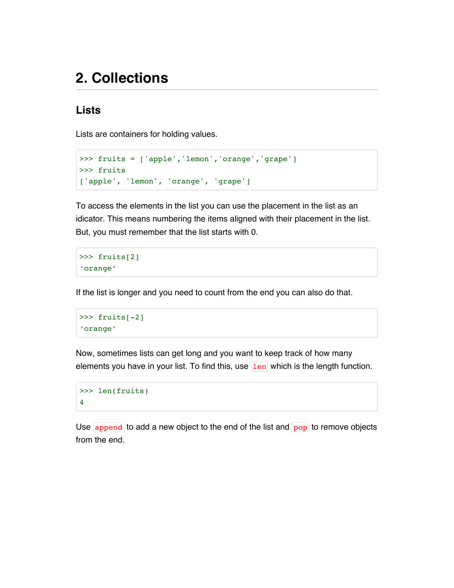## **2. Collections**

#### **Lists**

Lists are containers for holding values.

```
>>> fruits = ['apple','lemon','orange','grape']
>>> fruits
['apple', 'lemon', 'orange', 'grape']
```
To access the elements in the list you can use the placement in the list as an idicator. This means numbering the items aligned with their placement in the list. But, you must remember that the list starts with 0.

```
>>> fruits[2]
'orange'
```
If the list is longer and you need to count from the end you can also do that.

```
>>> fruits[-2]
'orange'
```
Now, sometimes lists can get long and you want to keep track of how many elements you have in your list. To find this, use  $\left| \frac{\text{len}}{\text{len}} \right|$  which is the length function.

```
>>> len(fruits)
4
```
Use  $\alpha$  append to add a new object to the end of the list and  $\alpha$  to remove objects from the end.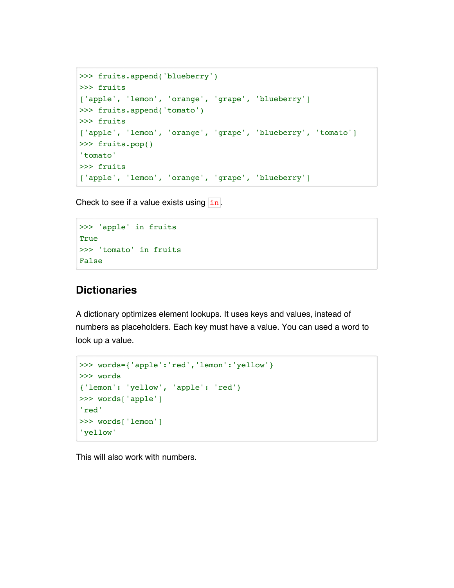```
>>> fruits.append('blueberry')
>>> fruits
['apple', 'lemon', 'orange', 'grape', 'blueberry']
>>> fruits.append('tomato')
>>> fruits
['apple', 'lemon', 'orange', 'grape', 'blueberry', 'tomato']
>>> fruits.pop()
'tomato' 
>>> fruits
['apple', 'lemon', 'orange', 'grape', 'blueberry']
```
Check to see if a value exists using  $\lfloor$  in.

```
>>> 'apple' in fruits
True
>>> 'tomato' in fruits
False
```
#### **Dictionaries**

A dictionary optimizes element lookups. It uses keys and values, instead of numbers as placeholders. Each key must have a value. You can used a word to look up a value.

```
>>> words={'apple':'red','lemon':'yellow'}
>>> words
{'lemon': 'yellow', 'apple': 'red'}
>>> words['apple']
'red'
>>> words['lemon']
'yellow'
```
This will also work with numbers.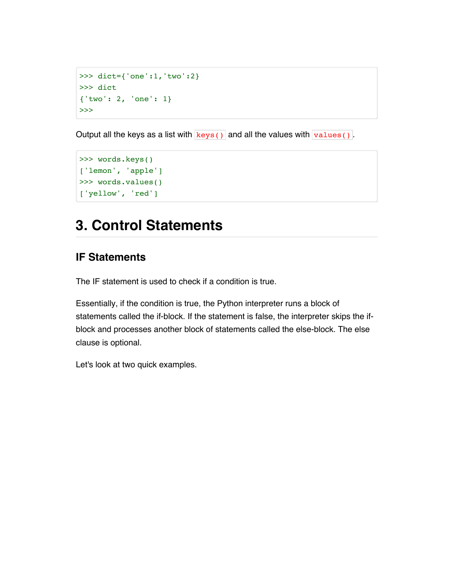```
>>> dict={'one':1,'two':2}
>>> dict
{'two': 2, 'one': 1}
>>>
```
Output all the keys as a list with  $\frac{1}{k}$  keys() and all the values with  $\frac{1}{k}$  values().

```
>>> words.keys()
['lemon', 'apple']
>>> words.values()
['yellow', 'red']
```
## **3. Control Statements**

#### **IF Statements**

The IF statement is used to check if a condition is true.

Essentially, if the condition is true, the Python interpreter runs a block of statements called the if-block. If the statement is false, the interpreter skips the ifblock and processes another block of statements called the else-block. The else clause is optional.

Let's look at two quick examples.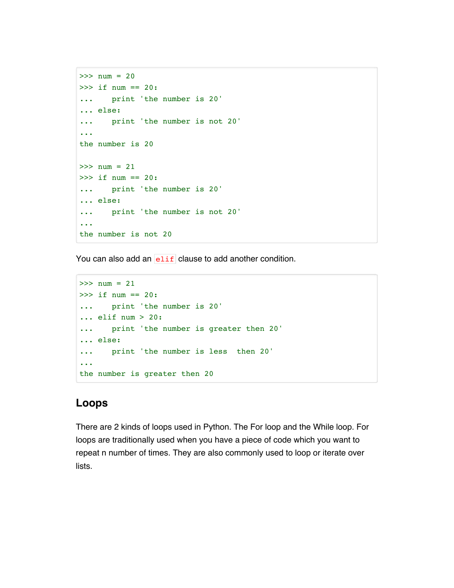```
>>> num = 20
>>> if num == 20:
... print 'the number is 20'
... else:
... print 'the number is not 20'
...
the number is 20
>> num = 21
>>> if num == 20:
... print 'the number is 20'
... else:
... print 'the number is not 20'
...
the number is not 20
```
You can also add an  $e$ lif clause to add another condition.

```
>> num = 21
>>> if num == 20:
... print 'the number is 20'
... elif num > 20:
... print 'the number is greater then 20'
... else:
... print 'the number is less then 20'
...
the number is greater then 20
```
#### **Loops**

There are 2 kinds of loops used in Python. The For loop and the While loop. For loops are traditionally used when you have a piece of code which you want to repeat n number of times. They are also commonly used to loop or iterate over lists.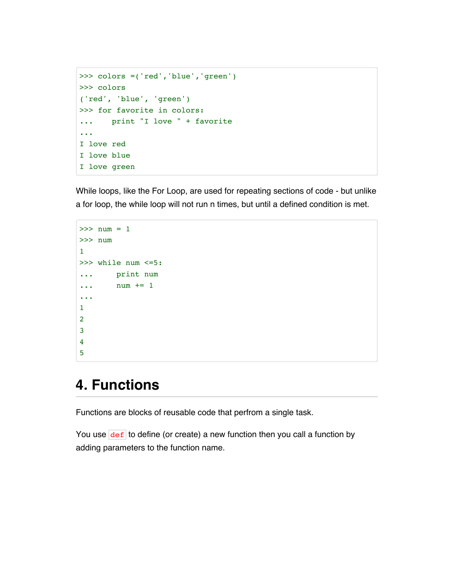```
>>> colors =('red','blue','green')
>>> colors
('red', 'blue', 'green')
>>> for favorite in colors:
... print "I love " + favorite
...
I love red
I love blue
I love green
```
While loops, like the For Loop, are used for repeating sections of code - but unlike a for loop, the while loop will not run n times, but until a defined condition is met.

```
>> num = 1
>>> num
1
>>> while num <=5:
... print num
... num += 1
...
1
2
3
4
5
```
## **4. Functions**

Functions are blocks of reusable code that perfrom a single task.

You use  $\overline{\text{def}}$  to define (or create) a new function then you call a function by adding parameters to the function name.